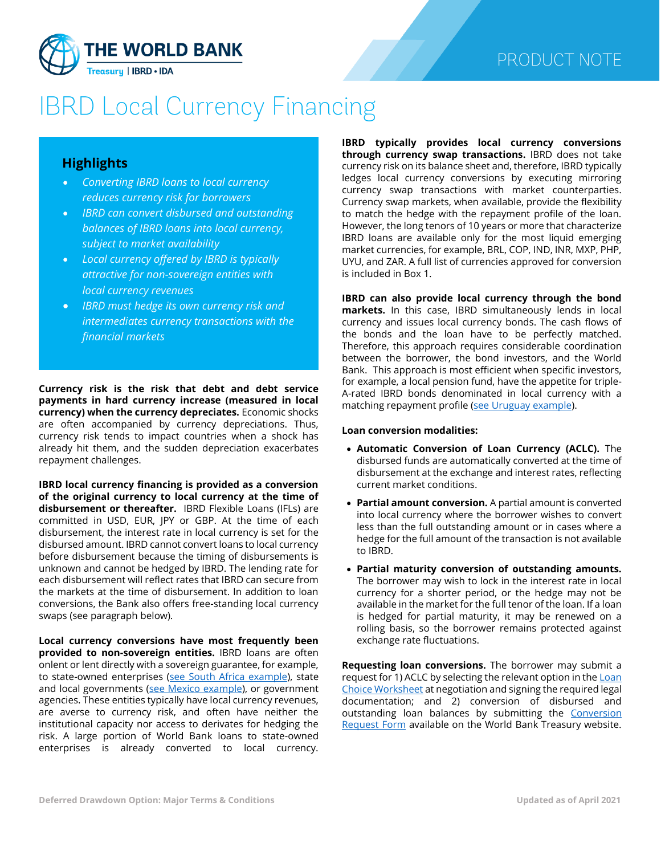

# **IBRD Local Currency Financing**

## **Highlights**

- *Converting IBRD loans to local currency reduces currency risk for borrowers*
- *IBRD can convert disbursed and outstanding balances of IBRD loans into local currency, subject to market availability*
- *Local currency offered by IBRD is typically attractive for non-sovereign entities with local currency revenues*
- *IBRD must hedge its own currency risk and intermediates currency transactions with the financial markets*

**Currency risk is the risk that debt and debt service payments in hard currency increase (measured in local currency) when the currency depreciates.** Economic shocks are often accompanied by currency depreciations. Thus, currency risk tends to impact countries when a shock has already hit them, and the sudden depreciation exacerbates repayment challenges.

**IBRD local currency financing is provided as a conversion of the original currency to local currency at the time of disbursement or thereafter.** IBRD Flexible Loans (IFLs) are committed in USD, EUR, JPY or GBP. At the time of each disbursement, the interest rate in local currency is set for the disbursed amount. IBRD cannot convert loans to local currency before disbursement because the timing of disbursements is unknown and cannot be hedged by IBRD. The lending rate for each disbursement will reflect rates that IBRD can secure from the markets at the time of disbursement. In addition to loan conversions, the Bank also offers free-standing local currency swaps (see paragraph below).

**Local currency conversions have most frequently been provided to non-sovereign entities.** IBRD loans are often onlent or lent directly with a sovereign guarantee, for example, to state-owned enterprises [\(see South Africa example\)](http://documents.worldbank.org/curated/en/667641548872223498/Helping-De-Risk-South-Africa-Supporting-Local-Currency-Financing-for-State-Owned-Enterprises.pdf), state and local governments [\(see Mexico example\)](http://documents.worldbank.org/curated/en/890361468279296424/pdf/81178-Mexico-Banobras-LocalCurrency-2015.pdf), or government agencies. These entities typically have local currency revenues, are averse to currency risk, and often have neither the institutional capacity nor access to derivates for hedging the risk. A large portion of World Bank loans to state-owned enterprises is already converted to local currency.

**IBRD typically provides local currency conversions through currency swap transactions.** IBRD does not take currency risk on its balance sheet and, therefore, IBRD typically ledges local currency conversions by executing mirroring currency swap transactions with market counterparties. Currency swap markets, when available, provide the flexibility to match the hedge with the repayment profile of the loan. However, the long tenors of 10 years or more that characterize IBRD loans are available only for the most liquid emerging market currencies, for example, BRL, COP, IND, INR, MXP, PHP, UYU, and ZAR. A full list of currencies approved for conversion is included in Box 1.

**IBRD can also provide local currency through the bond markets.** In this case, IBRD simultaneously lends in local currency and issues local currency bonds. The cash flows of the bonds and the loan have to be perfectly matched. Therefore, this approach requires considerable coordination between the borrower, the bond investors, and the World Bank. This approach is most efficient when specific investors, for example, a local pension fund, have the appetite for triple-A-rated IBRD bonds denominated in local currency with a matching repayment profile [\(see Uruguay example\)](http://documents.worldbank.org/curated/en/278031468126557301/pdf/81177-REVISED-WP-Uruguay-LocalCurrency-2015.pdf).

#### **Loan conversion modalities:**

- **Automatic Conversion of Loan Currency (ACLC).** The disbursed funds are automatically converted at the time of disbursement at the exchange and interest rates, reflecting current market conditions.
- **Partial amount conversion.** A partial amount is converted into local currency where the borrower wishes to convert less than the full outstanding amount or in cases where a hedge for the full amount of the transaction is not available to IBRD.
- **Partial maturity conversion of outstanding amounts.** The borrower may wish to lock in the interest rate in local currency for a shorter period, or the hedge may not be available in the market for the full tenor of the loan. If a loan is hedged for partial maturity, it may be renewed on a rolling basis, so the borrower remains protected against exchange rate fluctuations.

**Requesting loan conversions.** The borrower may submit a request for 1) ACLC by selecting the relevant option in the Loan [Choice Worksheet](http://pubdocs.worldbank.org/en/439931530803360571/Instructions-LCW-FINAL-6-27-2018.pdf) at negotiation and signing the required legal documentation; and 2) conversion of disbursed and outstanding loan balances by submitting the Conversion [Request Form](http://pubdocs.worldbank.org/en/974321533936517580/Currency-Conversion-of-Outstanding-Loan-Amounts2018.xls) available on the World Bank Treasury website.